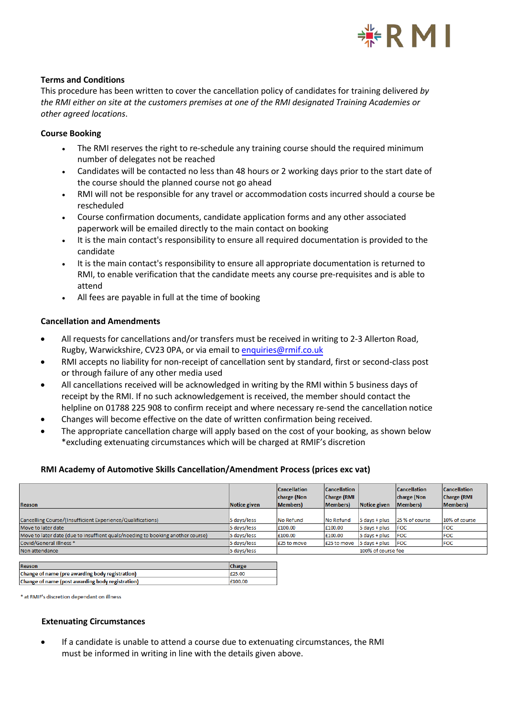

## **Terms and Conditions**

This procedure has been written to cover the cancellation policy of candidates for training delivered *by the RMI either on site at the customers premises at one of the RMI designated Training Academies or other agreed locations*.

## **Course Booking**

- The RMI reserves the right to re-schedule any training course should the required minimum number of delegates not be reached
- Candidates will be contacted no less than 48 hours or 2 working days prior to the start date of the course should the planned course not go ahead
- RMI will not be responsible for any travel or accommodation costs incurred should a course be rescheduled
- Course confirmation documents, candidate application forms and any other associated paperwork will be emailed directly to the main contact on booking
- It is the main contact's responsibility to ensure all required documentation is provided to the candidate
- It is the main contact's responsibility to ensure all appropriate documentation is returned to RMI, to enable verification that the candidate meets any course pre-requisites and is able to attend
- All fees are payable in full at the time of booking

# **Cancellation and Amendments**

- All requests for cancellations and/or transfers must be received in writing to 2-3 Allerton Road, Rugby, Warwickshire, CV23 0PA, or via email [to](mailto:enquires@rmif.co.uk) [enquiries@rmif.co.uk](mailto:enquiries@rmif.co.uk)
- RMI accepts no liability for non-receipt of cancellation sent by standard, first or second-class post or through failure of any other media used
- All cancellations received will be acknowledged in writing by the RMI within 5 business days of receipt by the RMI. If no such acknowledgement is received, the member should contact the helpline on 01788 225 908 to confirm receipt and where necessary re-send the cancellation notice
- Changes will become effective on the date of written confirmation being received.
- The appropriate cancellation charge will apply based on the cost of your booking, as shown below \*excluding extenuating circumstances which will be charged at RMIF's discretion

## **RMI Academy of Automotive Skills Cancellation/Amendment Process (prices exc vat)**

| Reason                                                                         | Notice given | <b>Cancellation</b><br>charge (Non<br>Members) | <b>Cancellation</b><br><b>Charge (RMI</b><br>Members) | Notice given    | <b>Cancellation</b><br>charge (Non<br>Members) | <b>Cancellation</b><br><b>Charge (RMI</b><br><b>Members</b> ) |
|--------------------------------------------------------------------------------|--------------|------------------------------------------------|-------------------------------------------------------|-----------------|------------------------------------------------|---------------------------------------------------------------|
|                                                                                |              |                                                |                                                       |                 |                                                |                                                               |
| Cancelling Course/(Insufficient Experience/Qualifications)                     | 5 days/less  | No Refund                                      | No Refund                                             | $5$ days + plus | 25 % of course                                 | 10% of course                                                 |
| Move to later date                                                             | 5 days/less  | £100.00                                        | £100.00                                               | $5$ days + plus | <b>FOC</b>                                     | <b>FOC</b>                                                    |
| Move to later date (due to insuffient quals/needing to booking another course) | 5 days/less  | £100.00                                        | £100.00                                               | $5$ days + plus | FOC                                            | <b>FOC</b>                                                    |
| Covid/General Illness *                                                        | 5 days/less  | £25 to move                                    | £25 to move                                           | 5 days + plus   | <b>FOC</b>                                     | <b>FOC</b>                                                    |
| Non attendance                                                                 | 5 days/less  | 100% of course fee                             |                                                       |                 |                                                |                                                               |

| Reason                                           | <b>Charge</b> |
|--------------------------------------------------|---------------|
| Change of name (pre awarding body registration)  | £25.00        |
| Change of name (post awarding body registration) | £100.00       |

\* at RMIF's discretion dependant on illness

## **Extenuating Circumstances**

• If a candidate is unable to attend a course due to extenuating circumstances, the RMI must be informed in writing in line with the details given above.